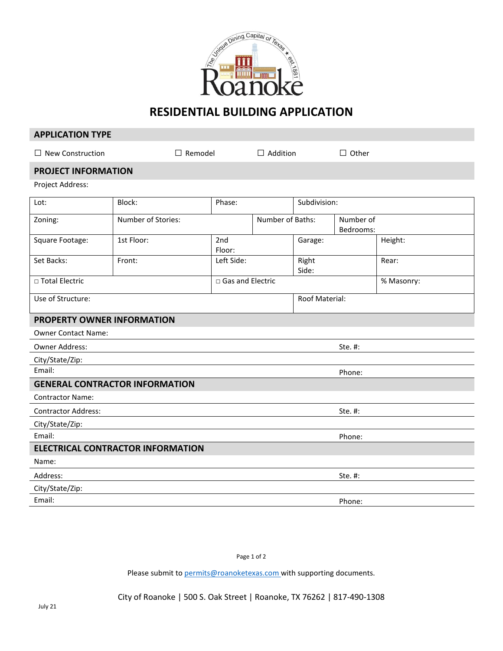

# **RESIDENTIAL BUILDING APPLICATION**

### **APPLICATION TYPE**

 $\Box$  New Construction  $\Box$  Remodel  $\Box$  Addition  $\Box$  Other

### **PROJECT INFORMATION**

Project Address:

| Lot:                              | Block:                                   | Phase:             |                  | Subdivision:   |                        |
|-----------------------------------|------------------------------------------|--------------------|------------------|----------------|------------------------|
| Zoning:                           | Number of Stories:                       |                    | Number of Baths: |                | Number of<br>Bedrooms: |
| Square Footage:                   | 1st Floor:                               | 2nd<br>Floor:      |                  | Garage:        | Height:                |
| Set Backs:                        | Front:                                   | Left Side:         |                  | Right<br>Side: | Rear:                  |
| □ Total Electric                  |                                          | □ Gas and Electric |                  |                | % Masonry:             |
| Use of Structure:                 |                                          |                    |                  | Roof Material: |                        |
| <b>PROPERTY OWNER INFORMATION</b> |                                          |                    |                  |                |                        |
| <b>Owner Contact Name:</b>        |                                          |                    |                  |                |                        |
| Owner Address:                    |                                          |                    |                  |                | Ste. #:                |
| City/State/Zip:                   |                                          |                    |                  |                |                        |
| Email:                            |                                          |                    |                  |                | Phone:                 |
|                                   | <b>GENERAL CONTRACTOR INFORMATION</b>    |                    |                  |                |                        |
| <b>Contractor Name:</b>           |                                          |                    |                  |                |                        |
| <b>Contractor Address:</b>        |                                          |                    |                  |                | Ste. #:                |
| City/State/Zip:                   |                                          |                    |                  |                |                        |
| Email:                            |                                          |                    |                  |                | Phone:                 |
|                                   | <b>ELECTRICAL CONTRACTOR INFORMATION</b> |                    |                  |                |                        |
| Name:                             |                                          |                    |                  |                |                        |
| Address:                          |                                          |                    |                  |                | Ste. #:                |
| City/State/Zip:                   |                                          |                    |                  |                |                        |
| Email:                            |                                          |                    |                  |                | Phone:                 |

Page 1 of 2

Please submit to *permits@roanoketexas.com* with supporting documents.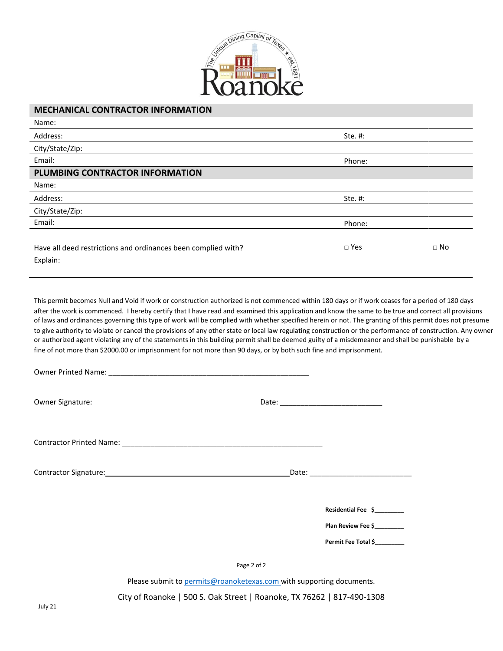

## **MECHANICAL CONTRACTOR INFORMATION**

| Name:                                                         |               |           |
|---------------------------------------------------------------|---------------|-----------|
| Address:                                                      | Ste. #:       |           |
| City/State/Zip:                                               |               |           |
| Email:                                                        | Phone:        |           |
| PLUMBING CONTRACTOR INFORMATION                               |               |           |
| Name:                                                         |               |           |
| Address:                                                      | Ste. #:       |           |
| City/State/Zip:                                               |               |           |
| Email:                                                        | Phone:        |           |
|                                                               |               |           |
| Have all deed restrictions and ordinances been complied with? | $\square$ Yes | $\Box$ No |
| Explain:                                                      |               |           |
|                                                               |               |           |

This permit becomes Null and Void if work or construction authorized is not commenced within 180 days or if work ceases for a period of 180 days after the work is commenced. I hereby certify that I have read and examined this application and know the same to be true and correct all provisions of laws and ordinances governing this type of work will be complied with whether specified herein or not. The granting of this permit does not presume to give authority to violate or cancel the provisions of any other state or local law regulating construction or the performance of construction. Any owner or authorized agent violating any of the statements in this building permit shall be deemed guilty of a misdemeanor and shall be punishable by a fine of not more than \$2000.00 or imprisonment for not more than 90 days, or by both such fine and imprisonment.

| Owner Signature: 1999 March 2008 March 2009 March 2009 March 2009 March 2009 March 2009 March 2009 March 2009 |                                           |
|---------------------------------------------------------------------------------------------------------------|-------------------------------------------|
|                                                                                                               |                                           |
|                                                                                                               | Date: <u>Date: Electron Communication</u> |
|                                                                                                               | Residential Fee \$_________               |
|                                                                                                               | Plan Review Fee \$                        |
|                                                                                                               | Permit Fee Total \$                       |
|                                                                                                               | Page 2 of 2                               |

Please submit to [permits@roanoketexas.com w](mailto:permits@roanoketexas.com)ith supporting documents.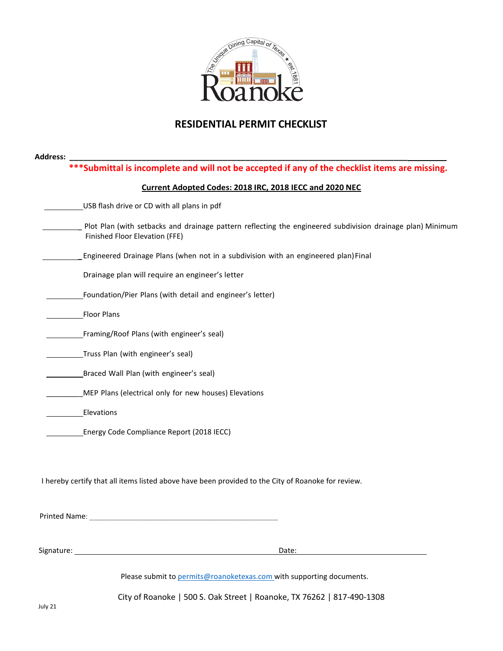

# **RESIDENTIAL PERMIT CHECKLIST**

|               | *** Submittal is incomplete and will not be accepted if any of the checklist items are missing.                                              |
|---------------|----------------------------------------------------------------------------------------------------------------------------------------------|
|               | Current Adopted Codes: 2018 IRC, 2018 IECC and 2020 NEC                                                                                      |
|               | USB flash drive or CD with all plans in pdf                                                                                                  |
|               | Plot Plan (with setbacks and drainage pattern reflecting the engineered subdivision drainage plan) Minimum<br>Finished Floor Elevation (FFE) |
|               | Engineered Drainage Plans (when not in a subdivision with an engineered plan) Final                                                          |
|               | Drainage plan will require an engineer's letter                                                                                              |
|               | Foundation/Pier Plans (with detail and engineer's letter)                                                                                    |
|               | <b>Floor Plans</b>                                                                                                                           |
|               | Framing/Roof Plans (with engineer's seal)                                                                                                    |
|               | Truss Plan (with engineer's seal)                                                                                                            |
|               | Braced Wall Plan (with engineer's seal)                                                                                                      |
|               | MEP Plans (electrical only for new houses) Elevations                                                                                        |
|               | Elevations                                                                                                                                   |
|               | Energy Code Compliance Report (2018 IECC)                                                                                                    |
|               |                                                                                                                                              |
|               | I hereby certify that all items listed above have been provided to the City of Roanoke for review.                                           |
|               |                                                                                                                                              |
| Printed Name: |                                                                                                                                              |
|               |                                                                                                                                              |
|               | Date:                                                                                                                                        |
|               | Please submit to permits@roanoketexas.com with supporting documents.                                                                         |
|               | City of Roanoke   500 S. Oak Street   Roanoke, TX 76262   817-490-1308                                                                       |
| July 21       |                                                                                                                                              |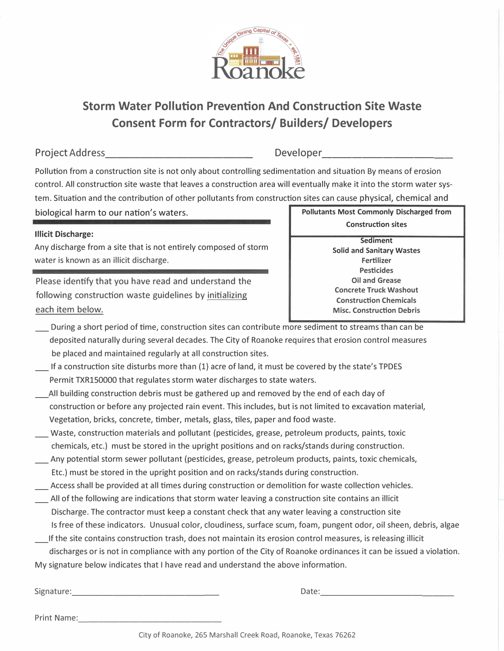

# **Storm Water Pollution Prevention And Construction Site Waste Consent Form for Contractors/ Builders/ Developers**

Project Address\_\_\_\_\_\_\_\_\_\_\_\_ \_ Developer -------------

Pollution from a construction site is not only about controlling sedimentation and situation By means of erosion control. All construction site waste that leaves a construction area will eventually make it into the storm water system. Situation and the contribution of other pollutants from construction sites can cause physical, chemical and

biological harm to our nation's waters.

# **Illicit Discharge:**

Any discharge from a site that is not entirely composed of storm water is known as an illicit discharge.

Please identify that you have read and understand the following construction waste guidelines by initializing each item below.

**Pollutants Most Commonly Discharged from Construction sites** 

> **Sediment Solid and Sanitary Wastes Fertilizer Pesticides Oil and Grease Concrete Truck Washout Construction Chemicals Misc. Construction Debris**

- \_ During a short period of time, construction sites can contribute more sediment to streams than can be deposited naturally during several decades. The City of Roanoke requires that erosion control measures be placed and maintained regularly at all construction sites.
- If a construction site disturbs more than (1) acre of land, it must be covered by the state's TPDES Permit TXR150000 that regulates storm water discharges to state waters.
- \_All building construction debris must be gathered up and removed by the end of each day of construction or before any projected rain event. This includes, but is not limited to excavation material, Vegetation, bricks, concrete, timber, metals, glass, tiles, paper and food waste.
- \_ Waste, construction materials and pollutant (pesticides, grease, petroleum products, paints, toxic chemicals, etc.) must be stored in the upright positions and on racks/stands during construction.
- \_ Any potential storm sewer pollutant (pesticides, grease, petroleum products, paints, toxic chemicals, Etc.) must be stored in the upright position and on racks/stands during construction. \_ Access shall be provided at all times during construction or demolition for waste collection vehicles.
- \_ All of the following are indications that storm water leaving a construction site contains an illicit Discharge. The contractor must keep a constant check that any water leaving a construction site Is free of these indicators. Unusual color, cloudiness, surface scum, foam, pungent odor, oil sheen, debris, algae If the site contains construction trash, does not maintain its erosion control measures, is releasing illicit

discharges or is not in compliance with any portion of the City of Roanoke ordinances it can be issued a violation. My signature below indicates that I have read and understand the above information.

Print Name: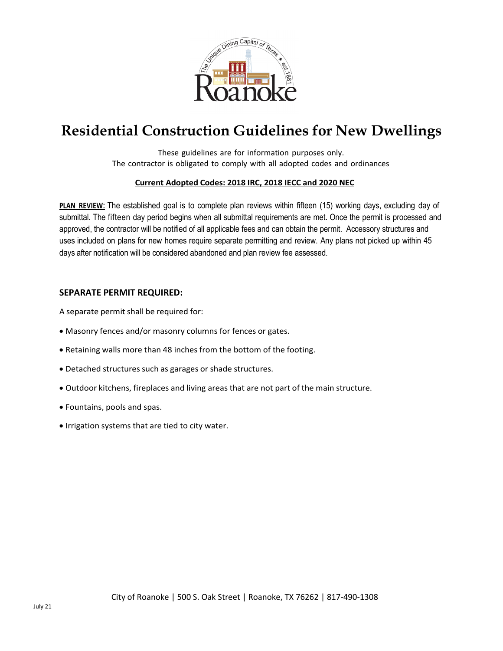

# **Residential Construction Guidelines for New Dwellings**

These guidelines are for information purposes only. The contractor is obligated to comply with all adopted codes and ordinances

## **Current Adopted Codes: 2018 IRC, 2018 IECC and 2020 NEC**

**PLAN REVIEW:** The established goal is to complete plan reviews within fifteen (15) working days, excluding day of submittal. The fifteen day period begins when all submittal requirements are met. Once the permit is processed and approved, the contractor will be notified of all applicable fees and can obtain the permit. Accessory structures and uses included on plans for new homes require separate permitting and review. Any plans not picked up within 45 days after notification will be considered abandoned and plan review fee assessed.

## **SEPARATE PERMIT REQUIRED:**

A separate permit shall be required for:

- Masonry fences and/or masonry columns for fences or gates.
- Retaining walls more than 48 inches from the bottom of the footing.
- Detached structures such as garages or shade structures.
- Outdoor kitchens, fireplaces and living areas that are not part of the main structure.
- Fountains, pools and spas.
- Irrigation systems that are tied to city water.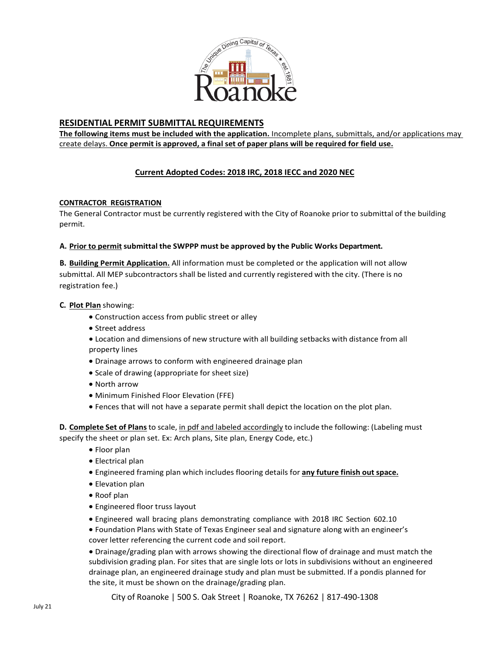

# **RESIDENTIAL PERMIT SUBMITTAL REQUIREMENTS**

**The following items must be included with the application.** Incomplete plans, submittals, and/or applications may create delays. **Once permit is approved, a final set of paper plans will be required for field use.**

## **Current Adopted Codes: 2018 IRC, 2018 IECC and 2020 NEC**

#### **CONTRACTOR REGISTRATION**

The General Contractor must be currently registered with the City of Roanoke prior to submittal of the building permit.

#### **A. Prior to permitsubmittal the SWPPP must be approved by the Public Works Department.**

**B. Building Permit Application.** All information must be completed or the application will not allow submittal. All MEP subcontractors shall be listed and currently registered with the city. (There is no registration fee.)

#### **C. Plot Plan** showing:

- Construction access from public street or alley
- Street address
- Location and dimensions of new structure with all building setbacks with distance from all property lines
- Drainage arrows to conform with engineered drainage plan
- Scale of drawing (appropriate for sheet size)
- North arrow
- Minimum Finished Floor Elevation (FFE)
- Fences that will not have a separate permit shall depict the location on the plot plan.

**D. Complete Set of Plans**to scale, in pdf and labeled accordingly to include the following: (Labeling must specify the sheet or plan set. Ex: Arch plans, Site plan, Energy Code, etc.)

- Floor plan
- Electrical plan
- Engineered framing plan which includes flooring details for **any future finish out space.**
- Elevation plan
- Roof plan
- Engineered floor truss layout
- Engineered wall bracing plans demonstrating compliance with 2018 IRC Section 602.10
- Foundation Plans with State of Texas Engineer seal and signature along with an engineer's cover letter referencing the current code and soil report.

• Drainage/grading plan with arrows showing the directional flow of drainage and must match the subdivision grading plan. For sites that are single lots or lots in subdivisions without an engineered drainage plan, an engineered drainage study and plan must be submitted. If a pondis planned for the site, it must be shown on the drainage/grading plan.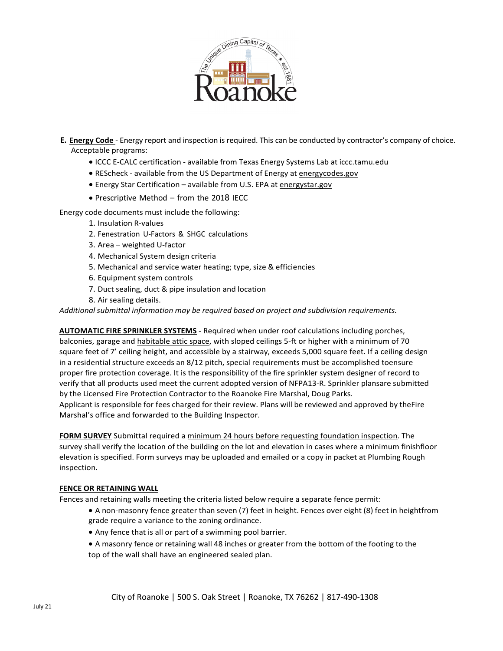

- **E. Energy Code** Energy report and inspection is required. This can be conducted by contractor's company of choice. Acceptable programs:
	- ICCC E-CALC certification available from Texas Energy Systems Lab at iccc.tamu.edu
	- REScheck available from the US Department of Energy at energycodes.gov
	- Energy Star Certification available from U.S. EPA at energystar.gov
	- Prescriptive Method from the 2018 IECC

Energy code documents must include the following:

- 1. Insulation R-values
- 2. Fenestration U-Factors & SHGC calculations
- 3. Area weighted U-factor
- 4. Mechanical System design criteria
- 5. Mechanical and service water heating; type, size & efficiencies
- 6. Equipment system controls
- 7. Duct sealing, duct & pipe insulation and location
- 8. Air sealing details.

*Additional submittal information may be required based on project and subdivision requirements.*

**AUTOMATIC FIRE SPRINKLER SYSTEMS** - Required when under roof calculations including porches, balconies, garage and habitable attic space, with sloped ceilings 5-ft or higher with a minimum of 70 square feet of 7' ceiling height, and accessible by a stairway, exceeds 5,000 square feet. If a ceiling design in a residential structure exceeds an 8/12 pitch, special requirements must be accomplished toensure proper fire protection coverage. It is the responsibility of the fire sprinkler system designer of record to verify that all products used meet the current adopted version of NFPA13-R. Sprinkler plansare submitted by the Licensed Fire Protection Contractor to the Roanoke Fire Marshal, Doug Parks. Applicant is responsible for fees charged for their review. Plans will be reviewed and approved by theFire Marshal's office and forwarded to the Building Inspector.

**FORM SURVEY** Submittal required a minimum 24 hours before requesting foundation inspection. The survey shall verify the location of the building on the lot and elevation in cases where a minimum finishfloor elevation is specified. Form surveys may be uploaded and emailed or a copy in packet at Plumbing Rough inspection.

#### **FENCE OR RETAINING WALL**

Fences and retaining walls meeting the criteria listed below require a separate fence permit:

- A non-masonry fence greater than seven (7) feet in height. Fences over eight (8) feet in heightfrom grade require a variance to the zoning ordinance.
- Any fence that is all or part of a swimming pool barrier.
- A masonry fence or retaining wall 48 inches or greater from the bottom of the footing to the top of the wall shall have an engineered sealed plan.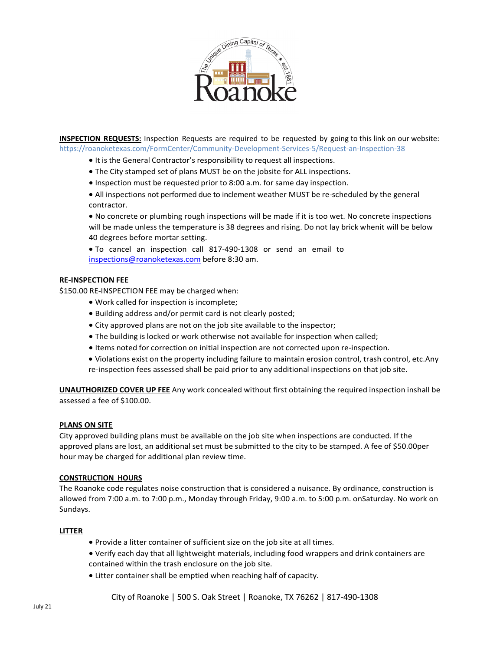

**INSPECTION REQUESTS:** Inspection Requests are required to be requested by going to this link on our website: https://roanoketexas.com/FormCenter/Community-Development-Services-5/Request-an-Inspection-38

- It is the General Contractor's responsibility to request all inspections.
- The City stamped set of plans MUST be on the jobsite for ALL inspections.
- Inspection must be requested prior to 8:00 a.m. for same day inspection.
- All inspections not performed due to inclement weather MUST be re-scheduled by the general contractor.

• No concrete or plumbing rough inspections will be made if it is too wet. No concrete inspections will be made unless the temperature is 38 degrees and rising. Do not lay brick whenit will be below 40 degrees before mortar setting.

• To cancel an inspection call 817-490-1308 or send an email to [inspections@roanoketexas.com](mailto:inspections@roanoketexas.com) before 8:30 am.

#### **RE-INSPECTION FEE**

\$150.00 RE-INSPECTION FEE may be charged when:

- Work called for inspection is incomplete;
- Building address and/or permit card is not clearly posted;
- City approved plans are not on the job site available to the inspector;
- The building is locked or work otherwise not available for inspection when called;
- Items noted for correction on initial inspection are not corrected upon re-inspection.
- Violations exist on the property including failure to maintain erosion control, trash control, etc.Any re-inspection fees assessed shall be paid prior to any additional inspections on that job site.

**UNAUTHORIZED COVER UP FEE** Any work concealed without first obtaining the required inspection inshall be assessed a fee of \$100.00.

#### **PLANS ON SITE**

City approved building plans must be available on the job site when inspections are conducted. If the approved plans are lost, an additional set must be submitted to the city to be stamped. A fee of \$50.00per hour may be charged for additional plan review time.

#### **CONSTRUCTION HOURS**

The Roanoke code regulates noise construction that is considered a nuisance. By ordinance, construction is allowed from 7:00 a.m. to 7:00 p.m., Monday through Friday, 9:00 a.m. to 5:00 p.m. onSaturday. No work on Sundays.

#### **LITTER**

- Provide a litter container of sufficient size on the job site at all times.
- Verify each day that all lightweight materials, including food wrappers and drink containers are contained within the trash enclosure on the job site.
- Litter container shall be emptied when reaching half of capacity.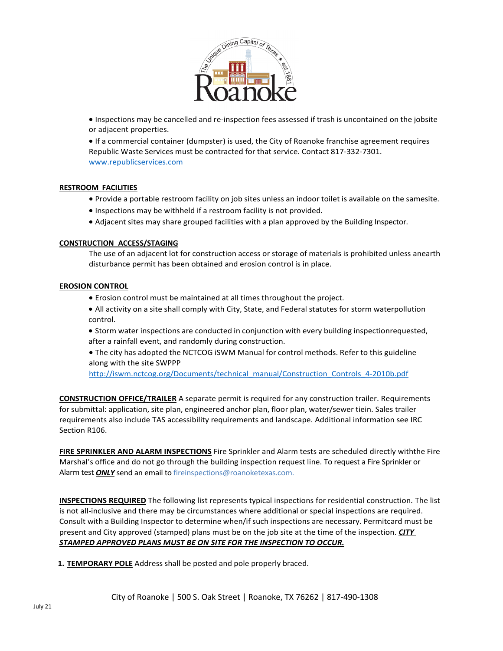

• Inspections may be cancelled and re-inspection fees assessed if trash is uncontained on the jobsite or adjacent properties.

• If a commercial container (dumpster) is used, the City of Roanoke franchise agreement requires Republic Waste Services must be contracted for that service. Contact 817-332-7301. [www.republicservices.com](http://www.republicservices.com/)

#### **RESTROOM FACILITIES**

- Provide a portable restroom facility on job sites unless an indoor toilet is available on the samesite.
- Inspections may be withheld if a restroom facility is not provided.
- Adjacent sites may share grouped facilities with a plan approved by the Building Inspector.

#### **CONSTRUCTION ACCESS/STAGING**

The use of an adjacent lot for construction access or storage of materials is prohibited unless anearth disturbance permit has been obtained and erosion control is in place.

#### **EROSION CONTROL**

- Erosion control must be maintained at all times throughout the project.
- All activity on a site shall comply with City, State, and Federal statutes for storm waterpollution control.
- Storm water inspections are conducted in conjunction with every building inspectionrequested, after a rainfall event, and randomly during construction.
- The city has adopted the NCTCOG iSWM Manual for control methods. Refer to this guideline along with the site SWPPP

[http://iswm.nctcog.org/Documents/technical\\_manual/Construction\\_Controls\\_4-2010b.pdf](http://iswm.nctcog.org/Documents/technical_manual/Construction_Controls_4-2010b.pdf)

**CONSTRUCTION OFFICE/TRAILER** A separate permit is required for any construction trailer. Requirements for submittal: application, site plan, engineered anchor plan, floor plan, water/sewer tiein. Sales trailer requirements also include TAS accessibility requirements and landscape. Additional information see IRC Section R106.

**FIRE SPRINKLER AND ALARM INSPECTIONS** Fire Sprinkler and Alarm tests are scheduled directly withthe Fire Marshal's office and do not go through the building inspection request line. To request a Fire Sprinkler or Alarm test *ONLY* send an email to fireinspections@roanoketexas.com.

**INSPECTIONS REQUIRED** The following list represents typical inspections for residential construction. The list is not all-inclusive and there may be circumstances where additional or special inspections are required. Consult with a Building Inspector to determine when/if such inspections are necessary. Permitcard must be present and City approved (stamped) plans must be on the job site at the time of the inspection. *CITY STAMPED APPROVED PLANS MUST BE ON SITE FOR THE INSPECTION TO OCCUR.*

**1. TEMPORARY POLE** Address shall be posted and pole properly braced.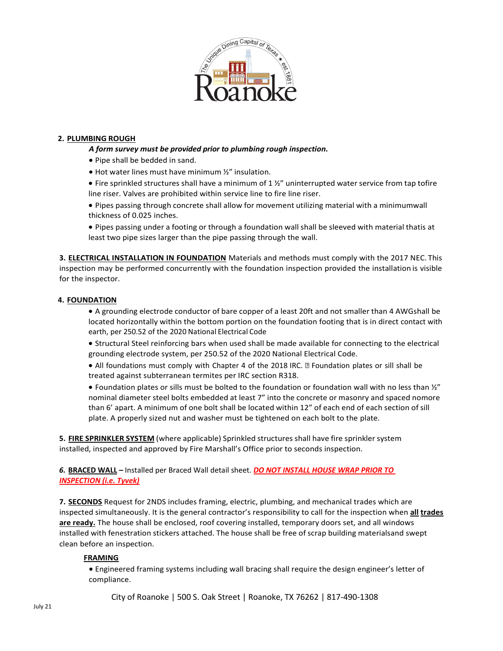

#### **2. PLUMBING ROUGH**

- *A form survey must be provided prior to plumbing rough inspection.*
- Pipe shall be bedded in sand.
- Hot water lines must have minimum ½" insulation.
- Fire sprinkled structures shall have a minimum of 1 ½" uninterrupted water service from tap tofire line riser. Valves are prohibited within service line to fire line riser.
- Pipes passing through concrete shall allow for movement utilizing material with a minimumwall thickness of 0.025 inches.
- Pipes passing under a footing or through a foundation wall shall be sleeved with material thatis at least two pipe sizes larger than the pipe passing through the wall.

**3. ELECTRICAL INSTALLATION IN FOUNDATION** Materials and methods must comply with the 2017 NEC. This inspection may be performed concurrently with the foundation inspection provided the installation is visible for the inspector.

#### **4. FOUNDATION**

- A grounding electrode conductor of bare copper of a least 20ft and not smaller than 4 AWGshall be located horizontally within the bottom portion on the foundation footing that is in direct contact with earth, per 250.52 of the 2020 National Electrical Code
- Structural Steel reinforcing bars when used shall be made available for connecting to the electrical grounding electrode system, per 250.52 of the 2020 National Electrical Code.
- All foundations must comply with Chapter 4 of the 2018 IRC. I Foundation plates or sill shall be treated against subterranean termites per IRC section R318.
- Foundation plates or sills must be bolted to the foundation or foundation wall with no less than  $\frac{1}{2}$ " nominal diameter steel bolts embedded at least 7" into the concrete or masonry and spaced nomore than 6' apart. A minimum of one bolt shall be located within 12" of each end of each section of sill plate. A properly sized nut and washer must be tightened on each bolt to the plate.

**5. FIRE SPRINKLER SYSTEM** (where applicable) Sprinkled structures shall have fire sprinklersystem installed, inspected and approved by Fire Marshall's Office prior to seconds inspection.

*6.* **BRACED WALL –** Installed per Braced Wall detail sheet. *DO NOT INSTALL HOUSE WRAP PRIOR TO INSPECTION (i.e. Tyvek)*

**7. SECONDS** Request for 2NDS includes framing, electric, plumbing, and mechanical trades which are inspected simultaneously. It is the general contractor's responsibility to call for the inspection when **all trades are ready.** The house shall be enclosed, roof covering installed, temporary doors set, and all windows installed with fenestration stickers attached. The house shall be free of scrap building materialsand swept clean before an inspection.

#### **FRAMING**

• Engineered framing systems including wall bracing shall require the design engineer's letter of compliance.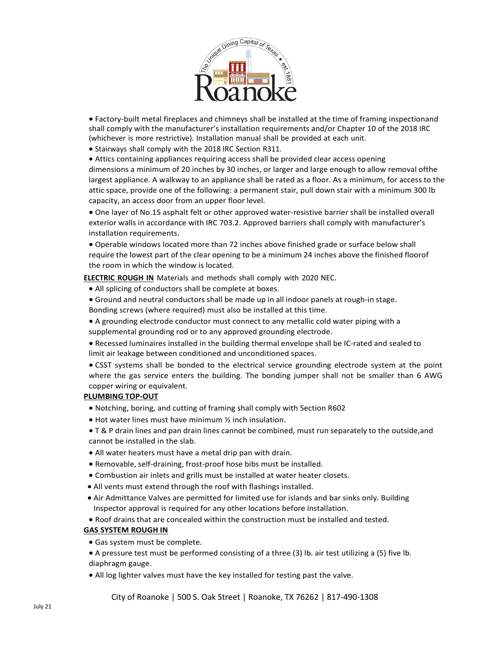

• Factory-built metal fireplaces and chimneys shall be installed at the time of framing inspectionand shall comply with the manufacturer's installation requirements and/or Chapter 10 of the 2018 IRC (whichever is more restrictive). Installation manual shall be provided at each unit.

• Stairways shall comply with the 2018 IRC Section R311.

• Attics containing appliances requiring access shall be provided clear access opening dimensions a minimum of 20 inches by 30 inches, or larger and large enough to allow removal ofthe largest appliance. A walkway to an appliance shall be rated as a floor. As a minimum, for access to the attic space, provide one of the following: a permanent stair, pull down stair with a minimum 300 lb capacity, an access door from an upper floor level.

• One layer of No.15 asphalt felt or other approved water-resistive barrier shall be installed overall exterior walls in accordance with IRC 703.2. Approved barriers shall comply with manufacturer's installation requirements.

• Operable windows located more than 72 inches above finished grade or surface below shall require the lowest part of the clear opening to be a minimum 24 inches above the finished floorof the room in which the window is located.

**ELECTRIC ROUGH IN** Materials and methods shall comply with 2020 NEC.

- All splicing of conductors shall be complete at boxes.
- Ground and neutral conductors shall be made up in all indoor panels at rough-in stage.
- Bonding screws (where required) must also be installed at this time.
- A grounding electrode conductor must connect to any metallic cold water piping with a supplemental grounding rod or to any approved grounding electrode.
- Recessed luminaires installed in the building thermal envelope shall be IC-rated and sealed to limit air leakage between conditioned and unconditioned spaces.
- CSST systems shall be bonded to the electrical service grounding electrode system at the point where the gas service enters the building. The bonding jumper shall not be smaller than 6 AWG copper wiring or equivalent.

#### **PLUMBING TOP-OUT**

- Notching, boring, and cutting of framing shall comply with Section R602
- Hot water lines must have minimum ½ inch insulation.
- T & P drain lines and pan drain lines cannot be combined, must run separately to the outside,and cannot be installed in the slab.
- All water heaters must have a metal drip pan with drain.
- Removable, self-draining, frost-proof hose bibs must be installed.
- Combustion air inlets and grills must be installed at water heater closets.
- All vents must extend through the roof with flashings installed.
- Air Admittance Valves are permitted for limited use for islands and bar sinks only. Building Inspector approval is required for any other locations before installation.
- Roof drains that are concealed within the construction must be installed and tested.

#### **GAS SYSTEM ROUGH IN**

- Gas system must be complete.
- A pressure test must be performed consisting of a three (3) lb. air test utilizing a (5) five lb. diaphragm gauge.
- All log lighter valves must have the key installed for testing past the valve.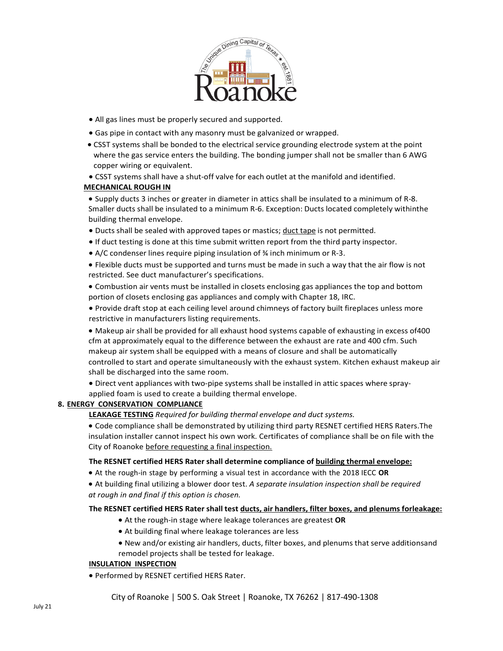

- All gas lines must be properly secured and supported.
- Gas pipe in contact with any masonry must be galvanized or wrapped.
- CSST systems shall be bonded to the electrical service grounding electrode system at the point where the gas service enters the building. The bonding jumper shall not be smaller than 6 AWG copper wiring or equivalent.
- CSST systems shall have a shut-off valve for each outlet at the manifold and identified.

#### **MECHANICAL ROUGH IN**

• Supply ducts 3 inches or greater in diameter in attics shall be insulated to a minimum of R-8. Smaller ducts shall be insulated to a minimum R-6. Exception: Ducts located completely withinthe building thermal envelope.

- Ducts shall be sealed with approved tapes or mastics; duct tape is not permitted.
- If duct testing is done at this time submit written report from the third party inspector.
- A/C condenser lines require piping insulation of ¾ inch minimum or R-3.

• Flexible ducts must be supported and turns must be made in such a way that the air flow is not restricted. See duct manufacturer's specifications.

• Combustion air vents must be installed in closets enclosing gas appliances the top and bottom portion of closets enclosing gas appliances and comply with Chapter 18, IRC.

• Provide draft stop at each ceiling level around chimneys of factory built fireplaces unless more restrictive in manufacturers listing requirements.

• Makeup air shall be provided for all exhaust hood systems capable of exhausting in excess of400 cfm at approximately equal to the difference between the exhaust are rate and 400 cfm. Such makeup air system shall be equipped with a means of closure and shall be automatically controlled to start and operate simultaneously with the exhaust system. Kitchen exhaust makeup air shall be discharged into the same room.

• Direct vent appliances with two-pipe systems shall be installed in attic spaces where spray-

applied foam is used to create a building thermal envelope.

### **8. ENERGY CONSERVATION COMPLIANCE**

**LEAKAGE TESTING** *Required for building thermal envelope and duct systems.*

• Code compliance shall be demonstrated by utilizing third party RESNET certified HERS Raters.The insulation installer cannot inspect his own work. Certificates of compliance shall be on file with the City of Roanoke before requesting a final inspection.

#### **The RESNET certified HERS Rater shall determine compliance of building thermal envelope:**

- At the rough-in stage by performing a visual test in accordance with the 2018 IECC **OR**
- At building final utilizing a blower door test. *A separate insulation inspection shall be required at rough in and final if this option is chosen.*

#### **The RESNET certified HERS Rater shall test ducts, air handlers, filter boxes, and plenums forleakage:**

- At the rough-in stage where leakage tolerances are greatest **OR**
- At building final where leakage tolerances are less
- New and/or existing air handlers, ducts, filter boxes, and plenums that serve additionsand remodel projects shall be tested for leakage.

#### **INSULATION INSPECTION**

• Performed by RESNET certified HERS Rater.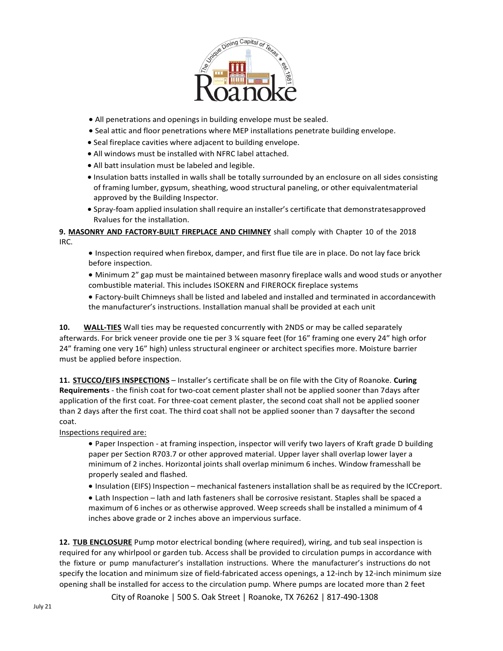

- All penetrations and openings in building envelope must be sealed.
- Seal attic and floor penetrations where MEP installations penetrate building envelope.
- Seal fireplace cavities where adjacent to building envelope.
- All windows must be installed with NFRC label attached.
- All batt insulation must be labeled and legible.
- Insulation batts installed in walls shall be totally surrounded by an enclosure on all sides consisting of framing lumber, gypsum, sheathing, wood structural paneling, or other equivalentmaterial approved by the Building Inspector.
- Spray-foam applied insulation shall require an installer's certificate that demonstratesapproved Rvalues for the installation.

**9. MASONRY AND FACTORY-BUILT FIREPLACE AND CHIMNEY** shall comply with Chapter 10 of the 2018 IRC.

• Inspection required when firebox, damper, and first flue tile are in place. Do not lay face brick before inspection.

• Minimum 2" gap must be maintained between masonry fireplace walls and wood studs or anyother combustible material. This includes ISOKERN and FIREROCK fireplace systems

• Factory-built Chimneys shall be listed and labeled and installed and terminated in accordancewith the manufacturer's instructions. Installation manual shall be provided at each unit

**10. WALL-TIES** Wall ties may be requested concurrently with 2NDS or may be called separately afterwards. For brick veneer provide one tie per 3 ¼ square feet (for 16" framing one every 24" high orfor 24" framing one very 16" high) unless structural engineer or architect specifies more. Moisture barrier must be applied before inspection.

**11. STUCCO/EIFS INSPECTIONS** – Installer's certificate shall be on file with the City of Roanoke. **Curing Requirements** - the finish coat for two-coat cement plaster shall not be applied sooner than 7days after application of the first coat. For three-coat cement plaster, the second coat shall not be applied sooner than 2 days after the first coat. The third coat shall not be applied sooner than 7 daysafter the second coat.

Inspections required are:

• Paper Inspection - at framing inspection, inspector will verify two layers of Kraft grade D building paper per Section R703.7 or other approved material. Upper layer shall overlap lower layer a minimum of 2 inches. Horizontal joints shall overlap minimum 6 inches. Window framesshall be properly sealed and flashed.

- Insulation (EIFS) Inspection mechanical fasteners installation shall be as required by the ICCreport.
- Lath Inspection lath and lath fasteners shall be corrosive resistant. Staples shall be spaced a maximum of 6 inches or as otherwise approved. Weep screeds shall be installed a minimum of 4 inches above grade or 2 inches above an impervious surface.

**12. TUB ENCLOSURE** Pump motor electrical bonding (where required), wiring, and tub seal inspection is required for any whirlpool or garden tub. Access shall be provided to circulation pumps in accordance with the fixture or pump manufacturer's installation instructions. Where the manufacturer's instructions do not specify the location and minimum size of field-fabricated access openings, a 12-inch by 12-inch minimum size opening shall be installed for access to the circulation pump. Where pumps are located more than 2 feet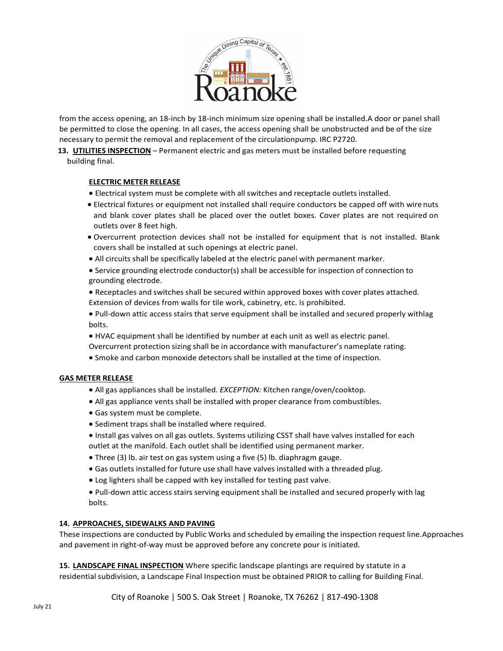

from the access opening, an 18-inch by 18-inch minimum size opening shall be installed.A door or panel shall be permitted to close the opening. In all cases, the access opening shall be unobstructed and be of the size necessary to permit the removal and replacement of the circulationpump. IRC P2720.

**13. UTILITIES INSPECTION** – Permanent electric and gas meters must be installed before requesting

building final.

#### **ELECTRIC METER RELEASE**

- Electrical system must be complete with all switches and receptacle outlets installed.
- Electrical fixtures or equipment not installed shall require conductors be capped off with wire nuts and blank cover plates shall be placed over the outlet boxes. Cover plates are not required on outlets over 8 feet high.
- Overcurrent protection devices shall not be installed for equipment that is not installed. Blank covers shall be installed at such openings at electric panel.
- All circuits shall be specifically labeled at the electric panel with permanent marker.
- Service grounding electrode conductor(s) shall be accessible for inspection of connection to grounding electrode.
- Receptacles and switches shall be secured within approved boxes with cover plates attached. Extension of devices from walls for tile work, cabinetry, etc. is prohibited.
- Pull-down attic access stairs that serve equipment shall be installed and secured properly withlag bolts.
- HVAC equipment shall be identified by number at each unit as well as electric panel. Overcurrent protection sizing shall be in accordance with manufacturer's nameplate rating.
- Smoke and carbon monoxide detectors shall be installed at the time of inspection.

#### **GAS METER RELEASE**

- All gas appliances shall be installed. *EXCEPTION:* Kitchen range/oven/cooktop.
- All gas appliance vents shall be installed with proper clearance from combustibles.
- Gas system must be complete.
- Sediment traps shall be installed where required.
- Install gas valves on all gas outlets. Systems utilizing CSST shall have valves installed for each outlet at the manifold. Each outlet shall be identified using permanent marker.
- Three (3) lb. air test on gas system using a five (5) lb. diaphragm gauge.
- Gas outlets installed for future use shall have valves installed with a threaded plug.
- Log lighters shall be capped with key installed for testing past valve.

• Pull-down attic access stairs serving equipment shall be installed and secured properly with lag bolts.

#### **14. APPROACHES, SIDEWALKS AND PAVING**

These inspections are conducted by Public Works and scheduled by emailing the inspection request line.Approaches and pavement in right-of-way must be approved before any concrete pour is initiated.

**15. LANDSCAPE FINAL INSPECTION** Where specific landscape plantings are required by statute in a residential subdivision, a Landscape Final Inspection must be obtained PRIOR to calling for Building Final.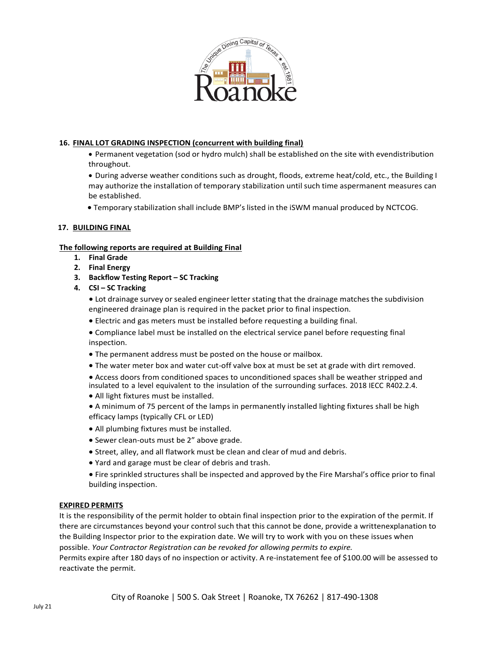

### **16. FINAL LOT GRADING INSPECTION (concurrent with building final)**

• Permanent vegetation (sod or hydro mulch) shall be established on the site with evendistribution throughout.

• During adverse weather conditions such as drought, floods, extreme heat/cold, etc., the Building I may authorize the installation of temporary stabilization until such time aspermanent measures can be established.

• Temporary stabilization shall include BMP's listed in the iSWM manual produced by NCTCOG.

#### **17. BUILDING FINAL**

#### **The following reports are required at Building Final**

- **1. Final Grade**
- **2. Final Energy**
- **3. Backflow Testing Report – SC Tracking**
- **4. CSI – SC Tracking**

• Lot drainage survey or sealed engineer letter stating that the drainage matches the subdivision engineered drainage plan is required in the packet prior to final inspection.

- Electric and gas meters must be installed before requesting a building final.
- Compliance label must be installed on the electrical service panel before requesting final inspection.
- The permanent address must be posted on the house or mailbox.
- The water meter box and water cut-off valve box at must be set at grade with dirt removed.
- Access doors from conditioned spaces to unconditioned spaces shall be weather stripped and insulated to a level equivalent to the insulation of the surrounding surfaces. 2018 IECC R402.2.4.
- All light fixtures must be installed.
- A minimum of 75 percent of the lamps in permanently installed lighting fixtures shall be high efficacy lamps (typically CFL or LED)
- All plumbing fixtures must be installed.
- Sewer clean-outs must be 2" above grade.
- Street, alley, and all flatwork must be clean and clear of mud and debris.
- Yard and garage must be clear of debris and trash.
- Fire sprinkled structures shall be inspected and approved by the Fire Marshal's office prior to final building inspection.

#### **EXPIRED PERMITS**

It is the responsibility of the permit holder to obtain final inspection prior to the expiration of the permit. If there are circumstances beyond your control such that this cannot be done, provide a writtenexplanation to the Building Inspector prior to the expiration date. We will try to work with you on these issues when possible. *Your Contractor Registration can be revoked for allowing permits to expire.*

Permits expire after 180 days of no inspection or activity. A re-instatement fee of \$100.00 will be assessed to reactivate the permit.